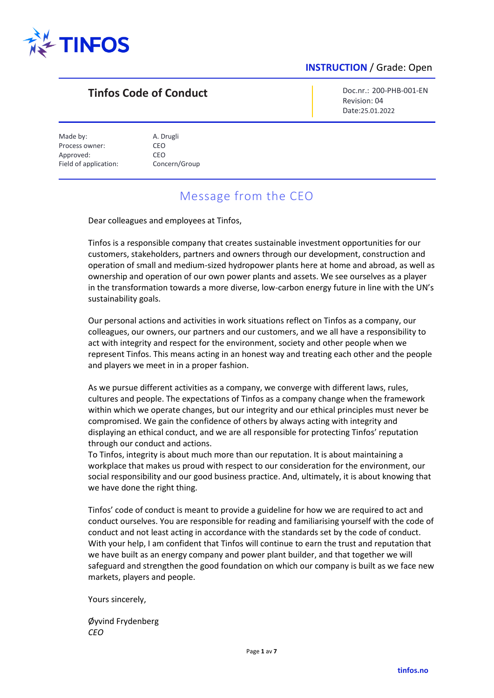

# **Tinfos Code of Conduct**

Doc.nr.: 200-PHB-001-EN Revision: 04 Date:25.01.2022

Made by: A. Drugli Process owner: CEO Approved: CEO Field of application: Concern/Group

# Message from the CEO

Dear colleagues and employees at Tinfos,

Tinfos is a responsible company that creates sustainable investment opportunities for our customers, stakeholders, partners and owners through our development, construction and operation of small and medium-sized hydropower plants here at home and abroad, as well as ownership and operation of our own power plants and assets. We see ourselves as a player in the transformation towards a more diverse, low-carbon energy future in line with the UN's sustainability goals.

Our personal actions and activities in work situations reflect on Tinfos as a company, our colleagues, our owners, our partners and our customers, and we all have a responsibility to act with integrity and respect for the environment, society and other people when we represent Tinfos. This means acting in an honest way and treating each other and the people and players we meet in in a proper fashion.

As we pursue different activities as a company, we converge with different laws, rules, cultures and people. The expectations of Tinfos as a company change when the framework within which we operate changes, but our integrity and our ethical principles must never be compromised. We gain the confidence of others by always acting with integrity and displaying an ethical conduct, and we are all responsible for protecting Tinfos' reputation through our conduct and actions.

To Tinfos, integrity is about much more than our reputation. It is about maintaining a workplace that makes us proud with respect to our consideration for the environment, our social responsibility and our good business practice. And, ultimately, it is about knowing that we have done the right thing.

Tinfos' code of conduct is meant to provide a guideline for how we are required to act and conduct ourselves. You are responsible for reading and familiarising yourself with the code of conduct and not least acting in accordance with the standards set by the code of conduct. With your help, I am confident that Tinfos will continue to earn the trust and reputation that we have built as an energy company and power plant builder, and that together we will safeguard and strengthen the good foundation on which our company is built as we face new markets, players and people.

Yours sincerely,

Øyvind Frydenberg *CEO*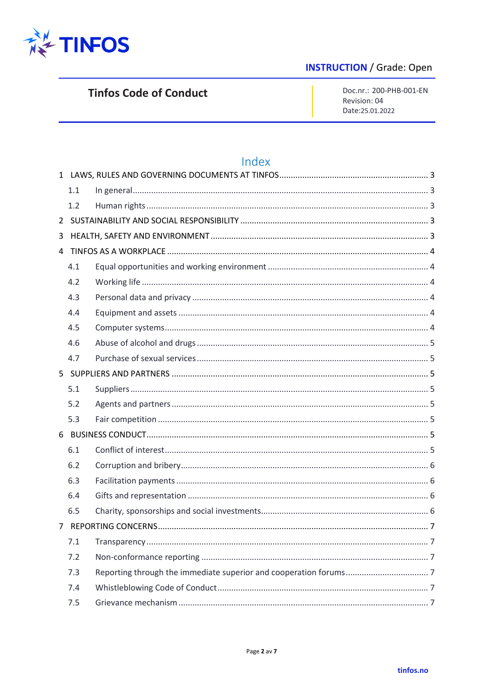

# **Tinfos Code of Conduct**

Doc.nr.: 200-PHB-001-EN Revision: 04 Date:25.01.2022

# Index

|                | 1.1 |  |  |
|----------------|-----|--|--|
|                | 1.2 |  |  |
| $\overline{2}$ |     |  |  |
| 3              |     |  |  |
| 4              |     |  |  |
|                | 4.1 |  |  |
|                | 4.2 |  |  |
|                | 4.3 |  |  |
|                | 4.4 |  |  |
|                | 4.5 |  |  |
|                | 4.6 |  |  |
|                | 4.7 |  |  |
|                |     |  |  |
|                | 5.1 |  |  |
|                | 5.2 |  |  |
|                | 5.3 |  |  |
|                |     |  |  |
|                | 6.1 |  |  |
|                | 6.2 |  |  |
|                | 6.3 |  |  |
|                | 6.4 |  |  |
|                | 6.5 |  |  |
| 7              |     |  |  |
|                | 7.1 |  |  |
|                | 7.2 |  |  |
|                | 7.3 |  |  |
|                | 7.4 |  |  |
|                | 7.5 |  |  |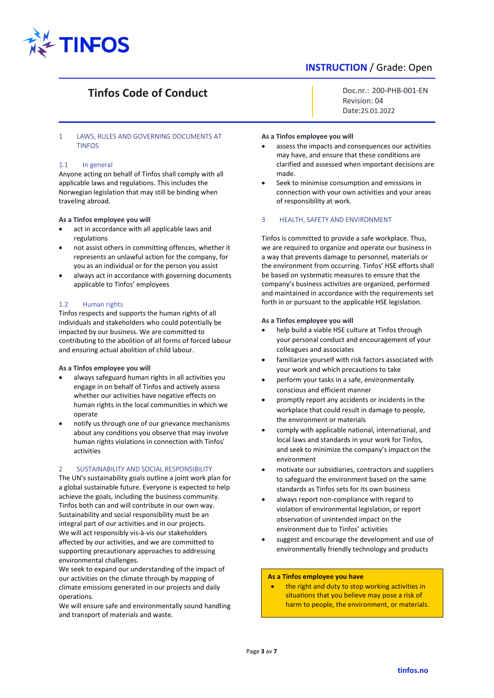

# **Tinfos Code of Conduct**

# <span id="page-2-0"></span>1 LAWS, RULES AND GOVERNING DOCUMENTS AT TINFOS

### <span id="page-2-1"></span>1.1 In general

Anyone acting on behalf of Tinfos shall comply with all applicable laws and regulations. This includes the Norwegian legislation that may still be binding when traveling abroad.

#### **As a Tinfos employee you will**

- act in accordance with all applicable laws and regulations
- not assist others in committing offences, whether it represents an unlawful action for the company, for you as an individual or for the person you assist
- always act in accordance with governing documents applicable to Tinfos' employees

### <span id="page-2-2"></span>1.2 Human rights

Tinfos respects and supports the human rights of all individuals and stakeholders who could potentially be impacted by our business. We are committed to contributing to the abolition of all forms of forced labour and ensuring actual abolition of child labour.

### **As a Tinfos employee you will**

- always safeguard human rights in all activities you engage in on behalf of Tinfos and actively assess whether our activities have negative effects on human rights in the local communities in which we operate
- notify us through one of our grievance mechanisms about any conditions you observe that may involve human rights violations in connection with Tinfos' activities

# <span id="page-2-3"></span>SUSTAINABILITY AND SOCIAL RESPONSIBILITY

The UN's sustainability goals outline a joint work plan for a global sustainable future. Everyone is expected to help achieve the goals, including the business community. Tinfos both can and will contribute in our own way. Sustainability and social responsibility must be an integral part of our activities and in our projects. We will act responsibly vis-à-vis our stakeholders affected by our activities, and we are committed to supporting precautionary approaches to addressing environmental challenges.

We seek to expand our understanding of the impact of our activities on the climate through by mapping of climate emissions generated in our projects and daily operations.

We will ensure safe and environmentally sound handling and transport of materials and waste.

Doc.nr.: 200-PHB-001-EN Revision: 04 Date:25.01.2022

### **As a Tinfos employee you will**

- assess the impacts and consequences our activities may have, and ensure that these conditions are clarified and assessed when important decisions are made.
- Seek to minimise consumption and emissions in connection with your own activities and your areas of responsibility at work.

### <span id="page-2-4"></span>3 HEALTH, SAFETY AND ENVIRONMENT

Tinfos is committed to provide a safe workplace. Thus, we are required to organize and operate our business in a way that prevents damage to personnel, materials or the environment from occurring. Tinfos' HSE efforts shall be based on systematic measures to ensure that the company's business activities are organized, performed and maintained in accordance with the requirements set forth in or pursuant to the applicable HSE legislation.

#### **As a Tinfos employee you will**

- help build a viable HSE culture at Tinfos through your personal conduct and encouragement of your colleagues and associates
- familiarize yourself with risk factors associated with your work and which precautions to take
- perform your tasks in a safe, environmentally conscious and efficient manner
- promptly report any accidents or incidents in the workplace that could result in damage to people, the environment or materials
- comply with applicable national, international, and local laws and standards in your work for Tinfos, and seek to minimize the company's impact on the environment
- motivate our subsidiaries, contractors and suppliers to safeguard the environment based on the same standards as Tinfos sets for its own business
- always report non-compliance with regard to violation of environmental legislation, or report observation of unintended impact on the environment due to Tinfos' activities
- suggest and encourage the development and use of environmentally friendly technology and products

#### **As a Tinfos employee you have**

the right and duty to stop working activities in situations that you believe may pose a risk of harm to people, the environment, or materials.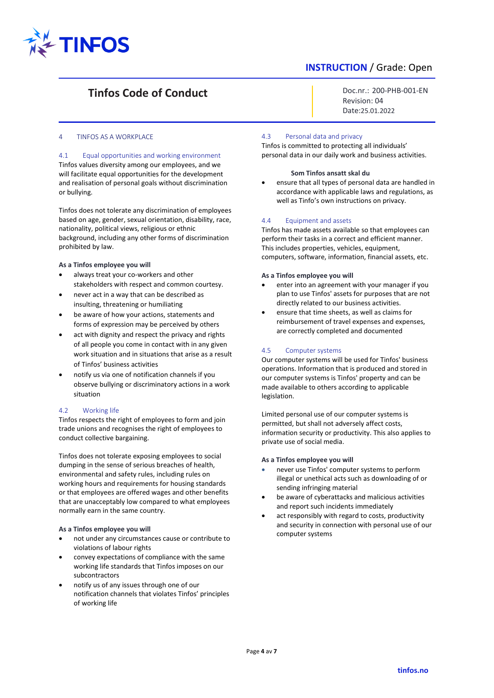

# **Tinfos Code of Conduct**

Doc.nr.: 200-PHB-001-EN Revision: 04 Date:25.01.2022

### <span id="page-3-0"></span>4 TINFOS AS A WORKPLACE

<span id="page-3-1"></span>4.1 Equal opportunities and working environment Tinfos values diversity among our employees, and we will facilitate equal opportunities for the development and realisation of personal goals without discrimination or bullying.

Tinfos does not tolerate any discrimination of employees based on age, gender, sexual orientation, disability, race, nationality, political views, religious or ethnic background, including any other forms of discrimination prohibited by law.

#### **As a Tinfos employee you will**

- always treat your co-workers and other stakeholders with respect and common courtesy.
- never act in a way that can be described as insulting, threatening or humiliating
- be aware of how your actions, statements and forms of expression may be perceived by others
- act with dignity and respect the privacy and rights of all people you come in contact with in any given work situation and in situations that arise as a result of Tinfos' business activities
- notify us via one of notification channels if you observe bullying or discriminatory actions in a work situation

# <span id="page-3-2"></span>4.2 Working life

Tinfos respects the right of employees to form and join trade unions and recognises the right of employees to conduct collective bargaining.

Tinfos does not tolerate exposing employees to social dumping in the sense of serious breaches of health, environmental and safety rules, including rules on working hours and requirements for housing standards or that employees are offered wages and other benefits that are unacceptably low compared to what employees normally earn in the same country.

# **As a Tinfos employee you will**

- not under any circumstances cause or contribute to violations of labour rights
- convey expectations of compliance with the same working life standards that Tinfos imposes on our subcontractors
- notify us of any issues through one of our notification channels that violates Tinfos' principles of working life

# <span id="page-3-3"></span>4.3 Personal data and privacy

Tinfos is committed to protecting all individuals' personal data in our daily work and business activities.

### **Som Tinfos ansatt skal du**

• ensure that all types of personal data are handled in accordance with applicable laws and regulations, as well as Tinfo's own instructions on privacy.

# <span id="page-3-4"></span>4.4 Equipment and assets

Tinfos has made assets available so that employees can perform their tasks in a correct and efficient manner. This includes properties, vehicles, equipment, computers, software, information, financial assets, etc.

### **As a Tinfos employee you will**

- enter into an agreement with your manager if you plan to use Tinfos' assets for purposes that are not directly related to our business activities.
- ensure that time sheets, as well as claims for reimbursement of travel expenses and expenses, are correctly completed and documented

# <span id="page-3-5"></span>4.5 Computer systems

Our computer systems will be used for Tinfos' business operations. Information that is produced and stored in our computer systems is Tinfos' property and can be made available to others according to applicable legislation.

Limited personal use of our computer systems is permitted, but shall not adversely affect costs, information security or productivity. This also applies to private use of social media.

# **As a Tinfos employee you will**

- never use Tinfos' computer systems to perform illegal or unethical acts such as downloading of or sending infringing material
- be aware of cyberattacks and malicious activities and report such incidents immediately
- act responsibly with regard to costs, productivity and security in connection with personal use of our computer systems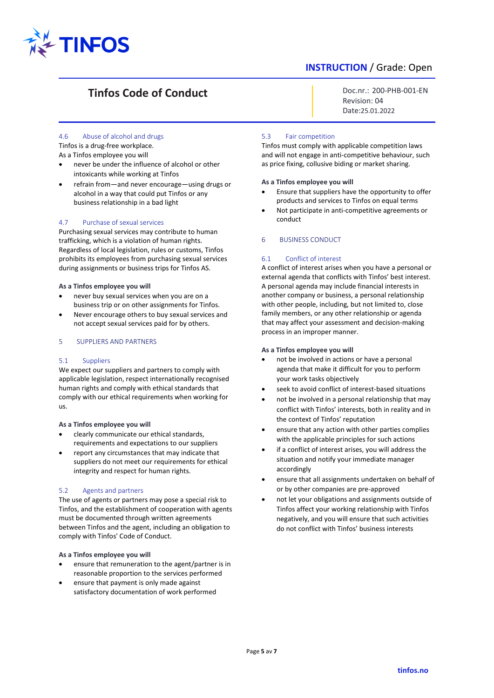

# **Tinfos Code of Conduct**

Doc.nr.: 200-PHB-001-EN Revision: 04 Date:25.01.2022

# <span id="page-4-0"></span>4.6 Abuse of alcohol and drugs

Tinfos is a drug-free workplace. As a Tinfos employee you will

- never be under the influence of alcohol or other intoxicants while working at Tinfos
- refrain from—and never encourage—using drugs or alcohol in a way that could put Tinfos or any business relationship in a bad light

# <span id="page-4-1"></span>4.7 Purchase of sexual services

Purchasing sexual services may contribute to human trafficking, which is a violation of human rights. Regardless of local legislation, rules or customs, Tinfos prohibits its employees from purchasing sexual services during assignments or business trips for Tinfos AS.

### **As a Tinfos employee you will**

- never buy sexual services when you are on a business trip or on other assignments for Tinfos.
- Never encourage others to buy sexual services and not accept sexual services paid for by others.

# <span id="page-4-2"></span>5 SUPPLIERS AND PARTNERS

# <span id="page-4-3"></span>5.1 Suppliers

We expect our suppliers and partners to comply with applicable legislation, respect internationally recognised human rights and comply with ethical standards that comply with our ethical requirements when working for us.

# **As a Tinfos employee you will**

- clearly communicate our ethical standards, requirements and expectations to our suppliers
- report any circumstances that may indicate that suppliers do not meet our requirements for ethical integrity and respect for human rights.

# <span id="page-4-4"></span>5.2 Agents and partners

The use of agents or partners may pose a special risk to Tinfos, and the establishment of cooperation with agents must be documented through written agreements between Tinfos and the agent, including an obligation to comply with Tinfos' Code of Conduct.

#### **As a Tinfos employee you will**

- ensure that remuneration to the agent/partner is in reasonable proportion to the services performed
- ensure that payment is only made against satisfactory documentation of work performed

### <span id="page-4-5"></span>5.3 Fair competition

Tinfos must comply with applicable competition laws and will not engage in anti-competitive behaviour, such as price fixing, collusive biding or market sharing.

#### **As a Tinfos employee you will**

- Ensure that suppliers have the opportunity to offer products and services to Tinfos on equal terms
- Not participate in anti-competitive agreements or conduct

# <span id="page-4-6"></span>6 BUSINESS CONDUCT

# <span id="page-4-7"></span>6.1 Conflict of interest

A conflict of interest arises when you have a personal or external agenda that conflicts with Tinfos' best interest. A personal agenda may include financial interests in another company or business, a personal relationship with other people, including, but not limited to, close family members, or any other relationship or agenda that may affect your assessment and decision-making process in an improper manner.

#### **As a Tinfos employee you will**

- not be involved in actions or have a personal agenda that make it difficult for you to perform your work tasks objectively
- seek to avoid conflict of interest-based situations
- not be involved in a personal relationship that may conflict with Tinfos' interests, both in reality and in the context of Tinfos' reputation
- ensure that any action with other parties complies with the applicable principles for such actions
- if a conflict of interest arises, you will address the situation and notify your immediate manager accordingly
- ensure that all assignments undertaken on behalf of or by other companies are pre-approved
- not let your obligations and assignments outside of Tinfos affect your working relationship with Tinfos negatively, and you will ensure that such activities do not conflict with Tinfos' business interests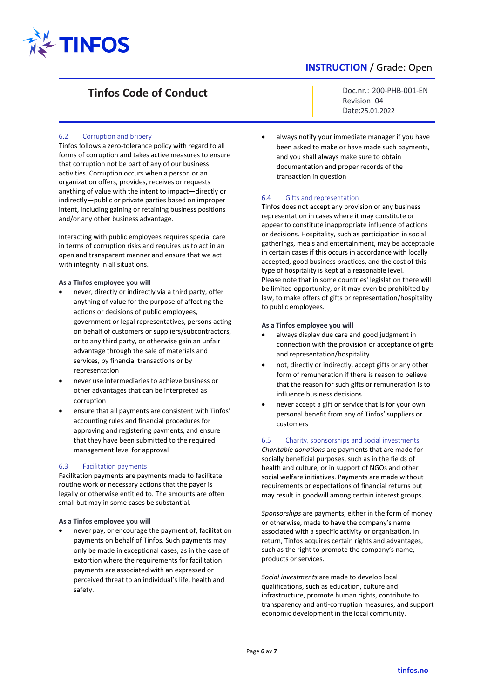

# **Tinfos Code of Conduct**

# <span id="page-5-0"></span>6.2 Corruption and bribery

Tinfos follows a zero-tolerance policy with regard to all forms of corruption and takes active measures to ensure that corruption not be part of any of our business activities. Corruption occurs when a person or an organization offers, provides, receives or requests anything of value with the intent to impact—directly or indirectly—public or private parties based on improper intent, including gaining or retaining business positions and/or any other business advantage.

Interacting with public employees requires special care in terms of corruption risks and requires us to act in an open and transparent manner and ensure that we act with integrity in all situations.

#### **As a Tinfos employee you will**

- never, directly or indirectly via a third party, offer anything of value for the purpose of affecting the actions or decisions of public employees, government or legal representatives, persons acting on behalf of customers or suppliers/subcontractors, or to any third party, or otherwise gain an unfair advantage through the sale of materials and services, by financial transactions or by representation
- never use intermediaries to achieve business or other advantages that can be interpreted as corruption
- ensure that all payments are consistent with Tinfos' accounting rules and financial procedures for approving and registering payments, and ensure that they have been submitted to the required management level for approval

### <span id="page-5-1"></span>6.3 Facilitation payments

Facilitation payments are payments made to facilitate routine work or necessary actions that the payer is legally or otherwise entitled to. The amounts are often small but may in some cases be substantial.

### **As a Tinfos employee you will**

• never pay, or encourage the payment of, facilitation payments on behalf of Tinfos. Such payments may only be made in exceptional cases, as in the case of extortion where the requirements for facilitation payments are associated with an expressed or perceived threat to an individual's life, health and safety.

Doc.nr.: 200-PHB-001-EN Revision: 04 Date:25.01.2022

always notify your immediate manager if you have been asked to make or have made such payments, and you shall always make sure to obtain documentation and proper records of the transaction in question

#### <span id="page-5-2"></span>6.4 Gifts and representation

Tinfos does not accept any provision or any business representation in cases where it may constitute or appear to constitute inappropriate influence of actions or decisions. Hospitality, such as participation in social gatherings, meals and entertainment, may be acceptable in certain cases if this occurs in accordance with locally accepted, good business practices, and the cost of this type of hospitality is kept at a reasonable level. Please note that in some countries' legislation there will be limited opportunity, or it may even be prohibited by law, to make offers of gifts or representation/hospitality to public employees.

#### **As a Tinfos employee you will**

- always display due care and good judgment in connection with the provision or acceptance of gifts and representation/hospitality
- not, directly or indirectly, accept gifts or any other form of remuneration if there is reason to believe that the reason for such gifts or remuneration is to influence business decisions
- never accept a gift or service that is for your own personal benefit from any of Tinfos' suppliers or customers

### <span id="page-5-3"></span>6.5 Charity, sponsorships and social investments

*Charitable donations* are payments that are made for socially beneficial purposes, such as in the fields of health and culture, or in support of NGOs and other social welfare initiatives. Payments are made without requirements or expectations of financial returns but may result in goodwill among certain interest groups.

*Sponsorships* are payments, either in the form of money or otherwise, made to have the company's name associated with a specific activity or organization. In return, Tinfos acquires certain rights and advantages, such as the right to promote the company's name, products or services.

*Social investments* are made to develop local qualifications, such as education, culture and infrastructure, promote human rights, contribute to transparency and anti-corruption measures, and support economic development in the local community.